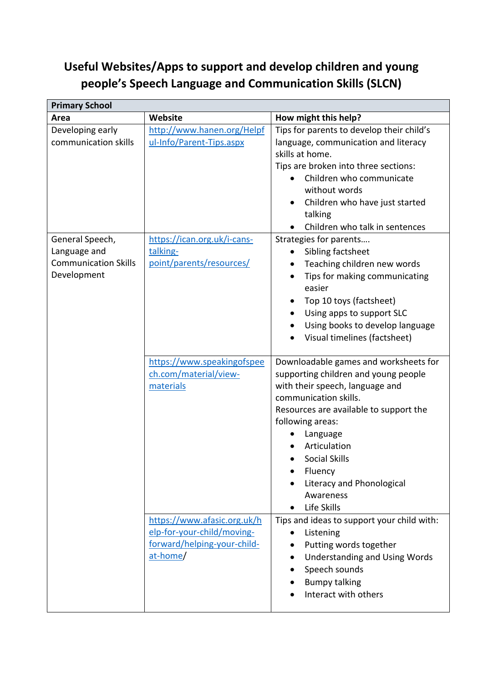## **Useful Websites/Apps to support and develop children and young people's Speech Language and Communication Skills (SLCN)**

| <b>Primary School</b>                                                         |                                                                                                      |                                                                                                                                                                                                                                                                                                                                 |  |  |
|-------------------------------------------------------------------------------|------------------------------------------------------------------------------------------------------|---------------------------------------------------------------------------------------------------------------------------------------------------------------------------------------------------------------------------------------------------------------------------------------------------------------------------------|--|--|
| Area                                                                          | Website                                                                                              | How might this help?                                                                                                                                                                                                                                                                                                            |  |  |
| Developing early<br>communication skills                                      | http://www.hanen.org/Helpf<br>ul-Info/Parent-Tips.aspx                                               | Tips for parents to develop their child's<br>language, communication and literacy<br>skills at home.<br>Tips are broken into three sections:<br>Children who communicate<br>$\bullet$<br>without words<br>Children who have just started<br>$\bullet$<br>talking<br>Children who talk in sentences                              |  |  |
| General Speech,<br>Language and<br><b>Communication Skills</b><br>Development | https://ican.org.uk/i-cans-<br>talking-<br>point/parents/resources/                                  | Strategies for parents<br>Sibling factsheet<br>$\bullet$<br>Teaching children new words<br>Tips for making communicating<br>easier<br>Top 10 toys (factsheet)<br>Using apps to support SLC<br>Using books to develop language<br>Visual timelines (factsheet)                                                                   |  |  |
|                                                                               | https://www.speakingofspee<br>ch.com/material/view-<br>materials                                     | Downloadable games and worksheets for<br>supporting children and young people<br>with their speech, language and<br>communication skills.<br>Resources are available to support the<br>following areas:<br>Language<br>Articulation<br><b>Social Skills</b><br>Fluency<br>Literacy and Phonological<br>Awareness<br>Life Skills |  |  |
|                                                                               | https://www.afasic.org.uk/h<br>elp-for-your-child/moving-<br>forward/helping-your-child-<br>at-home/ | Tips and ideas to support your child with:<br>Listening<br>Putting words together<br>Understanding and Using Words<br>$\bullet$<br>Speech sounds<br><b>Bumpy talking</b><br>Interact with others                                                                                                                                |  |  |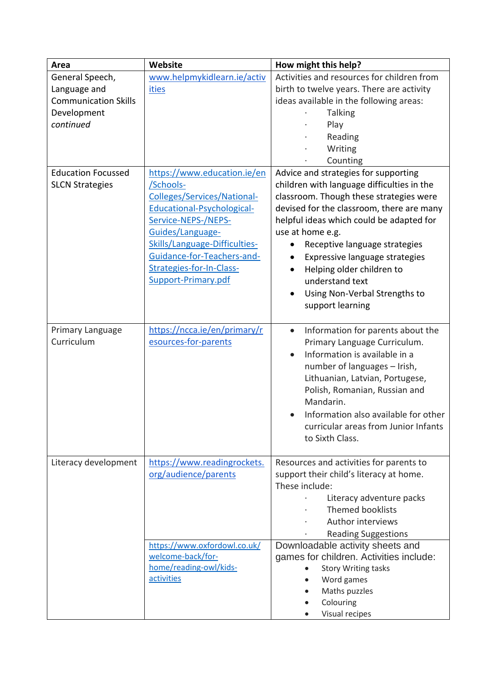| Area                        | Website                       | How might this help?                                           |
|-----------------------------|-------------------------------|----------------------------------------------------------------|
| General Speech,             | www.helpmykidlearn.ie/activ   | Activities and resources for children from                     |
| Language and                | <b>ities</b>                  | birth to twelve years. There are activity                      |
| <b>Communication Skills</b> |                               | ideas available in the following areas:                        |
| Development                 |                               | <b>Talking</b>                                                 |
| continued                   |                               | Play                                                           |
|                             |                               | Reading                                                        |
|                             |                               | Writing                                                        |
|                             |                               | Counting                                                       |
| <b>Education Focussed</b>   | https://www.education.ie/en   | Advice and strategies for supporting                           |
| <b>SLCN Strategies</b>      | /Schools-                     | children with language difficulties in the                     |
|                             | Colleges/Services/National-   | classroom. Though these strategies were                        |
|                             | Educational-Psychological-    | devised for the classroom, there are many                      |
|                             | Service-NEPS-/NEPS-           | helpful ideas which could be adapted for                       |
|                             | Guides/Language-              | use at home e.g.                                               |
|                             | Skills/Language-Difficulties- | Receptive language strategies                                  |
|                             | Guidance-for-Teachers-and-    | Expressive language strategies                                 |
|                             | Strategies-for-In-Class-      | Helping older children to<br>$\bullet$                         |
|                             | Support-Primary.pdf           | understand text                                                |
|                             |                               | Using Non-Verbal Strengths to                                  |
|                             |                               | support learning                                               |
|                             |                               |                                                                |
| Primary Language            | https://ncca.ie/en/primary/r  | Information for parents about the<br>$\bullet$                 |
| Curriculum                  | esources-for-parents          | Primary Language Curriculum.                                   |
|                             |                               | Information is available in a                                  |
|                             |                               | number of languages - Irish,                                   |
|                             |                               | Lithuanian, Latvian, Portugese,                                |
|                             |                               | Polish, Romanian, Russian and                                  |
|                             |                               | Mandarin.                                                      |
|                             |                               | Information also available for other<br>$\bullet$              |
|                             |                               | curricular areas from Junior Infants                           |
|                             |                               | to Sixth Class.                                                |
|                             |                               |                                                                |
| Literacy development        | https://www.readingrockets.   | Resources and activities for parents to                        |
|                             | org/audience/parents          | support their child's literacy at home.                        |
|                             |                               | These include:                                                 |
|                             |                               | Literacy adventure packs                                       |
|                             |                               | <b>Themed booklists</b>                                        |
|                             |                               | Author interviews                                              |
|                             |                               |                                                                |
|                             | https://www.oxfordowl.co.uk/  | <b>Reading Suggestions</b><br>Downloadable activity sheets and |
|                             | welcome-back/for-             | games for children. Activities include:                        |
|                             | home/reading-owl/kids-        | <b>Story Writing tasks</b>                                     |
|                             | activities                    | Word games                                                     |
|                             |                               | Maths puzzles                                                  |
|                             |                               | Colouring                                                      |
|                             |                               | Visual recipes                                                 |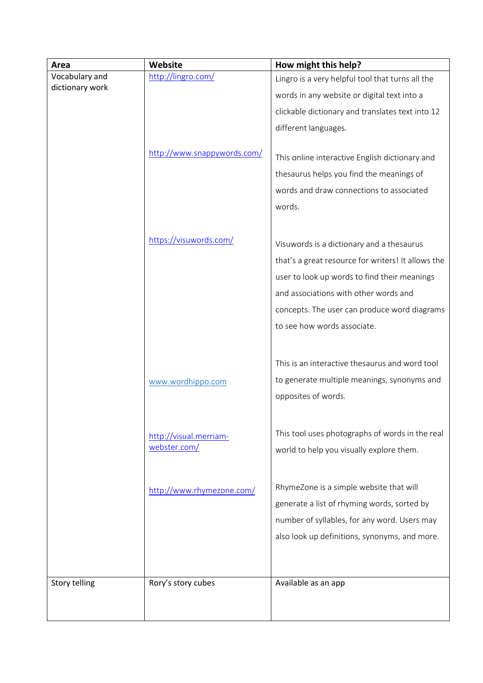| Area                 | Website                                | How might this help?                                                                                                                                                                                                                                                    |
|----------------------|----------------------------------------|-------------------------------------------------------------------------------------------------------------------------------------------------------------------------------------------------------------------------------------------------------------------------|
| Vocabulary and       | http://lingro.com/                     | Lingro is a very helpful tool that turns all the                                                                                                                                                                                                                        |
| dictionary work      |                                        | words in any website or digital text into a                                                                                                                                                                                                                             |
|                      |                                        | clickable dictionary and translates text into 12                                                                                                                                                                                                                        |
|                      |                                        | different languages.                                                                                                                                                                                                                                                    |
|                      | http://www.snappywords.com/            | This online interactive English dictionary and<br>thesaurus helps you find the meanings of<br>words and draw connections to associated<br>words.                                                                                                                        |
|                      | https://visuwords.com/                 | Visuwords is a dictionary and a thesaurus<br>that's a great resource for writers! It allows the<br>user to look up words to find their meanings<br>and associations with other words and<br>concepts. The user can produce word diagrams<br>to see how words associate. |
|                      | www.wordhippo.com                      | This is an interactive thesaurus and word tool<br>to generate multiple meanings, synonyms and<br>opposites of words.                                                                                                                                                    |
|                      | http://visual.merriam-<br>webster.com/ | This tool uses photographs of words in the real<br>world to help you visually explore them.                                                                                                                                                                             |
|                      | http://www.rhymezone.com/              | RhymeZone is a simple website that will<br>generate a list of rhyming words, sorted by<br>number of syllables, for any word. Users may<br>also look up definitions, synonyms, and more.                                                                                 |
| <b>Story telling</b> | Rory's story cubes                     | Available as an app                                                                                                                                                                                                                                                     |